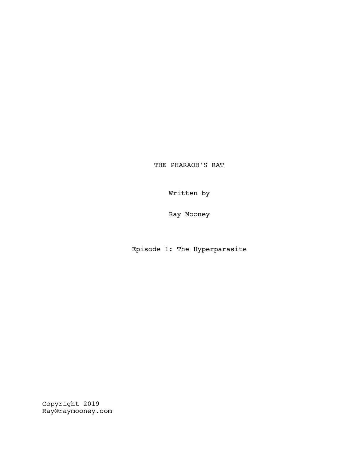THE PHARAOH'S RAT

Written by

Ray Mooney

Episode 1: The Hyperparasite

Copyright 2019 Ray@raymooney.com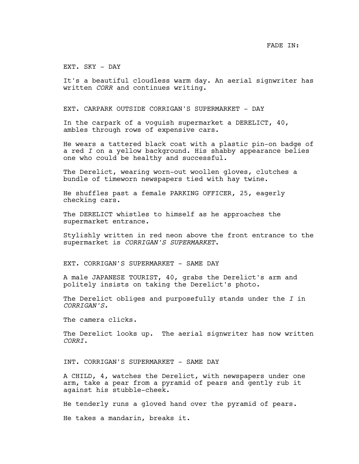EXT. SKY - DAY

It's a beautiful cloudless warm day. An aerial signwriter has written CORR and continues writing.

EXT. CARPARK OUTSIDE CORRIGAN'S SUPERMARKET - DAY

In the carpark of a voguish supermarket a DERELICT, 40, ambles through rows of expensive cars.

He wears a tattered black coat with a plastic pin-on badge of a red I on a yellow background. His shabby appearance belies one who could be healthy and successful.

The Derelict, wearing worn-out woollen gloves, clutches a bundle of timeworn newspapers tied with hay twine.

He shuffles past a female PARKING OFFICER, 25, eagerly checking cars.

The DERELICT whistles to himself as he approaches the supermarket entrance.

Stylishly written in red neon above the front entrance to the supermarket is CORRIGAN'S SUPERMARKET.

EXT. CORRIGAN'S SUPERMARKET - SAME DAY

A male JAPANESE TOURIST, 40, grabs the Derelict's arm and politely insists on taking the Derelict's photo.

The Derelict obliges and purposefully stands under the  $I$  in CORRIGAN'S.

The camera clicks.

The Derelict looks up. The aerial signwriter has now written CORRI.

INT. CORRIGAN'S SUPERMARKET - SAME DAY

A CHILD, 4, watches the Derelict, with newspapers under one arm, take a pear from a pyramid of pears and gently rub it against his stubble-cheek.

He tenderly runs a gloved hand over the pyramid of pears.

He takes a mandarin, breaks it.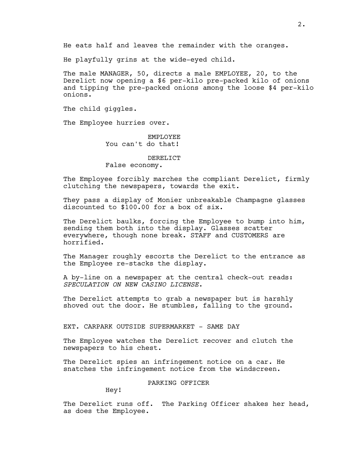He eats half and leaves the remainder with the oranges.

He playfully grins at the wide-eyed child.

The male MANAGER, 50, directs a male EMPLOYEE, 20, to the Derelict now opening a \$6 per-kilo pre-packed kilo of onions and tipping the pre-packed onions among the loose \$4 per-kilo onions.

The child giggles.

The Employee hurries over.

EMPLOYEE You can't do that!

# DERELICT

False economy.

The Employee forcibly marches the compliant Derelict, firmly clutching the newspapers, towards the exit.

They pass a display of Monier unbreakable Champagne glasses discounted to \$100.00 for a box of six.

The Derelict baulks, forcing the Employee to bump into him, sending them both into the display. Glasses scatter everywhere, though none break. STAFF and CUSTOMERS are horrified.

The Manager roughly escorts the Derelict to the entrance as the Employee re-stacks the display.

A by-line on a newspaper at the central check-out reads: SPECULATION ON NEW CASINO LICENSE.

The Derelict attempts to grab a newspaper but is harshly shoved out the door. He stumbles, falling to the ground.

EXT. CARPARK OUTSIDE SUPERMARKET - SAME DAY

The Employee watches the Derelict recover and clutch the newspapers to his chest.

The Derelict spies an infringement notice on a car. He snatches the infringement notice from the windscreen.

PARKING OFFICER

Hey!

The Derelict runs off. The Parking Officer shakes her head, as does the Employee.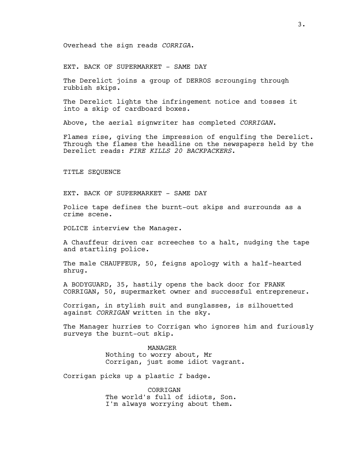Overhead the sign reads CORRIGA.

EXT. BACK OF SUPERMARKET - SAME DAY

The Derelict joins a group of DERROS scrounging through rubbish skips.

The Derelict lights the infringement notice and tosses it into a skip of cardboard boxes.

Above, the aerial signwriter has completed CORRIGAN.

Flames rise, giving the impression of engulfing the Derelict. Through the flames the headline on the newspapers held by the Derelict reads: FIRE KILLS 20 BACKPACKERS.

TITLE SEQUENCE

EXT. BACK OF SUPERMARKET - SAME DAY

Police tape defines the burnt-out skips and surrounds as a crime scene.

POLICE interview the Manager.

A Chauffeur driven car screeches to a halt, nudging the tape and startling police.

The male CHAUFFEUR, 50, feigns apology with a half-hearted shrug.

A BODYGUARD, 35, hastily opens the back door for FRANK CORRIGAN, 50, supermarket owner and successful entrepreneur.

Corrigan, in stylish suit and sunglasses, is silhouetted against CORRIGAN written in the sky.

The Manager hurries to Corrigan who ignores him and furiously surveys the burnt-out skip.

> MANAGER Nothing to worry about, Mr Corrigan, just some idiot vagrant.

Corrigan picks up a plastic I badge.

CORRIGAN The world's full of idiots, Son. I'm always worrying about them.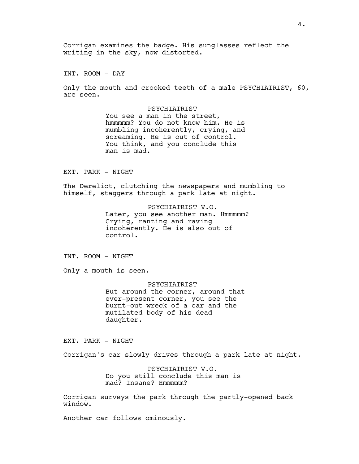Corrigan examines the badge. His sunglasses reflect the writing in the sky, now distorted.

INT. ROOM - DAY

Only the mouth and crooked teeth of a male PSYCHIATRIST, 60, are seen.

#### PSYCHIATRIST

You see a man in the street, hmmmmm? You do not know him. He is mumbling incoherently, crying, and screaming. He is out of control. You think, and you conclude this man is mad.

EXT. PARK - NIGHT

The Derelict, clutching the newspapers and mumbling to himself, staggers through a park late at night.

> PSYCHIATRIST V.O. Later, you see another man. Hmmmmm? Crying, ranting and raving incoherently. He is also out of control.

INT. ROOM - NIGHT

Only a mouth is seen.

PSYCHIATRIST But around the corner, around that ever-present corner, you see the burnt-out wreck of a car and the mutilated body of his dead daughter.

EXT. PARK - NIGHT

Corrigan's car slowly drives through a park late at night.

PSYCHIATRIST V.O. Do you still conclude this man is mad? Insane? Hmmmmm?

Corrigan surveys the park through the partly-opened back window.

Another car follows ominously.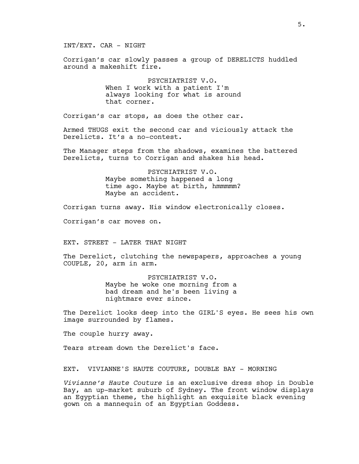INT/EXT. CAR - NIGHT

Corrigan's car slowly passes a group of DERELICTS huddled around a makeshift fire.

> PSYCHIATRIST V.O. When I work with a patient I'm always looking for what is around that corner.

Corrigan's car stops, as does the other car.

Armed THUGS exit the second car and viciously attack the Derelicts. It's a no-contest.

The Manager steps from the shadows, examines the battered Derelicts, turns to Corrigan and shakes his head.

> PSYCHIATRIST V.O. Maybe something happened a long time ago. Maybe at birth, hmmmmm? Maybe an accident.

Corrigan turns away. His window electronically closes.

Corrigan's car moves on.

EXT. STREET - LATER THAT NIGHT

The Derelict, clutching the newspapers, approaches a young COUPLE, 20, arm in arm.

> PSYCHIATRIST V.O. Maybe he woke one morning from a bad dream and he's been living a nightmare ever since.

The Derelict looks deep into the GIRL'S eyes. He sees his own image surrounded by flames.

The couple hurry away.

Tears stream down the Derelict's face.

EXT. VIVIANNE'S HAUTE COUTURE, DOUBLE BAY - MORNING

Vivianne's Haute Couture is an exclusive dress shop in Double Bay, an up-market suburb of Sydney. The front window displays an Egyptian theme, the highlight an exquisite black evening gown on a mannequin of an Egyptian Goddess.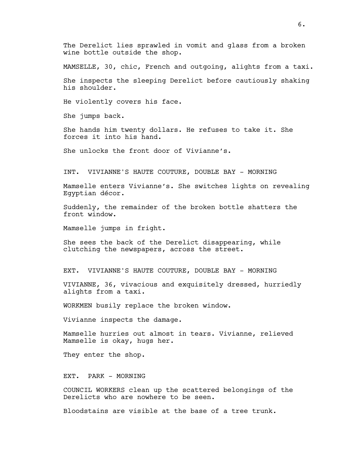The Derelict lies sprawled in vomit and glass from a broken wine bottle outside the shop.

MAMSELLE, 30, chic, French and outgoing, alights from a taxi.

She inspects the sleeping Derelict before cautiously shaking his shoulder.

He violently covers his face.

She jumps back.

She hands him twenty dollars. He refuses to take it. She forces it into his hand.

She unlocks the front door of Vivianne's.

INT. VIVIANNE'S HAUTE COUTURE, DOUBLE BAY - MORNING

Mamselle enters Vivianne's. She switches lights on revealing Egyptian décor.

Suddenly, the remainder of the broken bottle shatters the front window.

Mamselle jumps in fright.

She sees the back of the Derelict disappearing, while clutching the newspapers, across the street.

EXT. VIVIANNE'S HAUTE COUTURE, DOUBLE BAY - MORNING

VIVIANNE, 36, vivacious and exquisitely dressed, hurriedly alights from a taxi.

WORKMEN busily replace the broken window.

Vivianne inspects the damage.

Mamselle hurries out almost in tears. Vivianne, relieved Mamselle is okay, hugs her.

They enter the shop.

EXT. PARK - MORNING

COUNCIL WORKERS clean up the scattered belongings of the Derelicts who are nowhere to be seen.

Bloodstains are visible at the base of a tree trunk.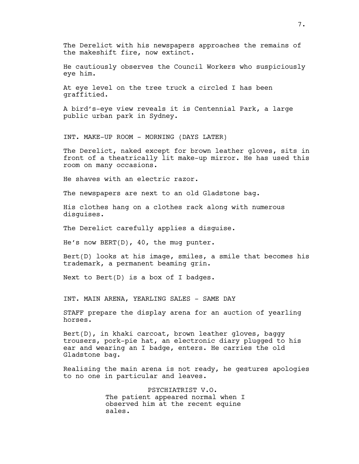The Derelict with his newspapers approaches the remains of the makeshift fire, now extinct.

He cautiously observes the Council Workers who suspiciously eye him.

At eye level on the tree truck a circled I has been graffitied.

A bird's-eye view reveals it is Centennial Park, a large public urban park in Sydney.

INT. MAKE-UP ROOM - MORNING (DAYS LATER)

The Derelict, naked except for brown leather gloves, sits in front of a theatrically lit make-up mirror. He has used this room on many occasions.

He shaves with an electric razor.

The newspapers are next to an old Gladstone bag.

His clothes hang on a clothes rack along with numerous disguises.

The Derelict carefully applies a disquise.

He's now BERT(D), 40, the mug punter.

Bert(D) looks at his image, smiles, a smile that becomes his trademark, a permanent beaming grin.

Next to Bert(D) is a box of I badges.

INT. MAIN ARENA, YEARLING SALES - SAME DAY

STAFF prepare the display arena for an auction of yearling horses.

 $Bert(D)$ , in khaki carcoat, brown leather gloves, baggy trousers, pork-pie hat, an electronic diary plugged to his ear and wearing an I badge, enters. He carries the old Gladstone bag.

Realising the main arena is not ready, he gestures apologies to no one in particular and leaves.

> PSYCHIATRIST V.O. The patient appeared normal when I observed him at the recent equine sales.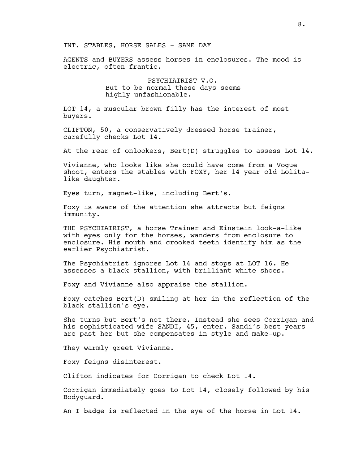INT. STABLES, HORSE SALES - SAME DAY

AGENTS and BUYERS assess horses in enclosures. The mood is electric, often frantic.

> PSYCHIATRIST V.O. But to be normal these days seems highly unfashionable.

LOT 14, a muscular brown filly has the interest of most buyers.

CLIFTON, 50, a conservatively dressed horse trainer, carefully checks Lot 14.

At the rear of onlookers, Bert(D) struggles to assess Lot 14.

Vivianne, who looks like she could have come from a Vogue shoot, enters the stables with FOXY, her 14 year old Lolitalike daughter.

Eyes turn, magnet-like, including Bert's.

Foxy is aware of the attention she attracts but feigns immunity.

THE PSYCHIATRIST, a horse Trainer and Einstein look-a-like with eyes only for the horses, wanders from enclosure to enclosure. His mouth and crooked teeth identify him as the earlier Psychiatrist.

The Psychiatrist ignores Lot 14 and stops at LOT 16. He assesses a black stallion, with brilliant white shoes.

Foxy and Vivianne also appraise the stallion.

Foxy catches Bert(D) smiling at her in the reflection of the black stallion's eye.

She turns but Bert's not there. Instead she sees Corrigan and his sophisticated wife SANDI, 45, enter. Sandi's best years are past her but she compensates in style and make-up.

They warmly greet Vivianne.

Foxy feigns disinterest.

Clifton indicates for Corrigan to check Lot 14.

Corrigan immediately goes to Lot 14, closely followed by his Bodyguard.

An I badge is reflected in the eye of the horse in Lot 14.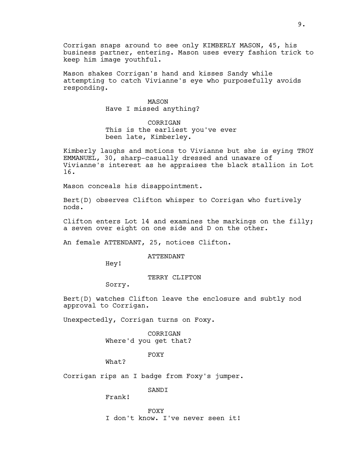Corrigan snaps around to see only KIMBERLY MASON, 45, his business partner, entering. Mason uses every fashion trick to keep him image youthful.

Mason shakes Corrigan's hand and kisses Sandy while attempting to catch Vivianne's eye who purposefully avoids responding.

> MASON Have I missed anything?

CORRIGAN This is the earliest you've ever been late, Kimberley.

Kimberly laughs and motions to Vivianne but she is eying TROY EMMANUEL, 30, sharp-casually dressed and unaware of Vivianne's interest as he appraises the black stallion in Lot 16.

Mason conceals his disappointment.

Bert(D) observes Clifton whisper to Corrigan who furtively nods.

Clifton enters Lot 14 and examines the markings on the filly; a seven over eight on one side and D on the other.

An female ATTENDANT, 25, notices Clifton.

#### ATTENDANT

Hey!

TERRY CLIFTON

Sorry.

Bert(D) watches Clifton leave the enclosure and subtly nod approval to Corrigan.

Unexpectedly, Corrigan turns on Foxy.

CORRIGAN Where'd you get that?

**FOXY** 

What?

Corrigan rips an I badge from Foxy's jumper.

SANDI

Frank!

FOXY I don't know. I've never seen it!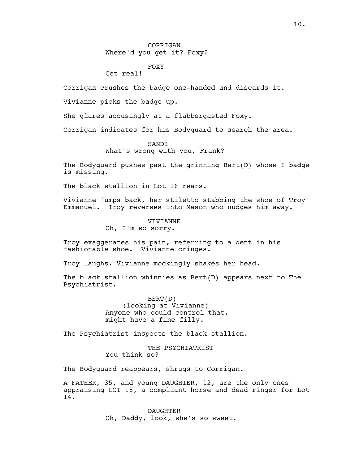**CORRIGAN** Where'd you get it? Foxy?

FOXY

Get real!

Corrigan crushes the badge one-handed and discards it.

Vivianne picks the badge up.

She glares accusingly at a flabbergasted Foxy.

Corrigan indicates for his Bodyguard to search the area.

SANDI What's wrong with you, Frank?

The Bodyguard pushes past the grinning Bert(D) whose I badge is missing.

The black stallion in Lot 16 rears.

Vivianne jumps back, her stiletto stabbing the shoe of Troy Emmanuel. Troy reverses into Mason who nudges him away.

> VIVIANNE Oh, I'm so sorry.

Troy exaggerates his pain, referring to a dent in his fashionable shoe. Vivianne cringes.

Troy laughs. Vivianne mockingly shakes her head.

The black stallion whinnies as Bert(D) appears next to The Psychiatrist.

> BERT(D) (looking at Vivianne) Anyone who could control that, might have a fine filly.

The Psychiatrist inspects the black stallion.

THE PSYCHIATRIST You think so?

The Bodyguard reappears, shrugs to Corrigan.

A FATHER, 35, and young DAUGHTER, 12, are the only ones appraising LOT 18, a compliant horse and dead ringer for Lot 14.

> DAUGHTER Oh, Daddy, look, she's so sweet.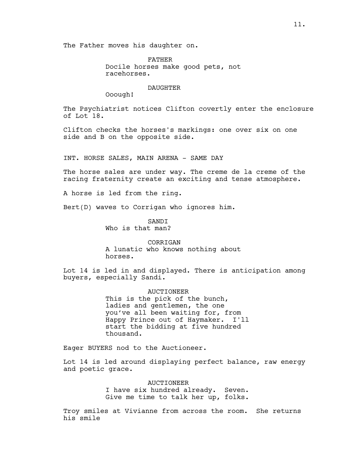The Father moves his daughter on.

FATHER Docile horses make good pets, not racehorses.

DAUGHTER

Ooough!

The Psychiatrist notices Clifton covertly enter the enclosure of Lot 18.

Clifton checks the horses's markings: one over six on one side and B on the opposite side.

INT. HORSE SALES, MAIN ARENA - SAME DAY

The horse sales are under way. The creme de la creme of the racing fraternity create an exciting and tense atmosphere.

A horse is led from the ring.

Bert(D) waves to Corrigan who ignores him.

**SANDI** Who is that man?

CORRIGAN A lunatic who knows nothing about horses.

Lot 14 is led in and displayed. There is anticipation among buyers, especially Sandi.

> AUCTIONEER This is the pick of the bunch, ladies and gentlemen, the one you've all been waiting for, from Happy Prince out of Haymaker. I'll start the bidding at five hundred thousand.

Eager BUYERS nod to the Auctioneer.

Lot 14 is led around displaying perfect balance, raw energy and poetic grace.

> **AUCTIONEER** I have six hundred already. Seven. Give me time to talk her up, folks.

Troy smiles at Vivianne from across the room. She returns his smile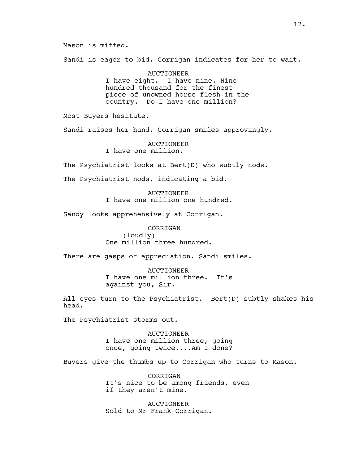Mason is miffed.

Sandi is eager to bid. Corrigan indicates for her to wait.

AUCTIONEER I have eight. I have nine. Nine hundred thousand for the finest piece of unowned horse flesh in the country. Do I have one million?

Most Buyers hesitate.

Sandi raises her hand. Corrigan smiles approvingly.

AUCTIONEER I have one million.

The Psychiatrist looks at Bert(D) who subtly nods.

The Psychiatrist nods, indicating a bid.

AUCTIONEER I have one million one hundred.

Sandy looks apprehensively at Corrigan.

CORRIGAN (loudly) One million three hundred.

There are gasps of appreciation. Sandi smiles.

AUCTIONEER I have one million three. It's against you, Sir.

All eyes turn to the Psychiatrist. Bert(D) subtly shakes his head.

The Psychiatrist storms out.

AUCTIONEER I have one million three, going once, going twice....Am I done?

Buyers give the thumbs up to Corrigan who turns to Mason.

CORRIGAN It's nice to be among friends, even if they aren't mine.

AUCTIONEER Sold to Mr Frank Corrigan.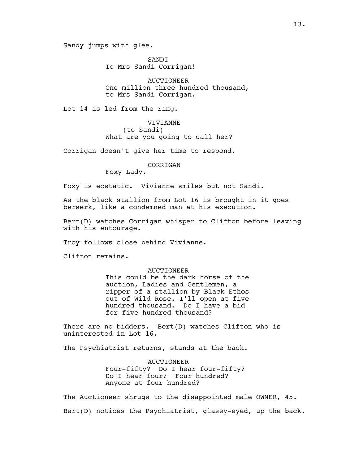Sandy jumps with glee.

SANDI To Mrs Sandi Corrigan!

AUCTIONEER One million three hundred thousand, to Mrs Sandi Corrigan.

Lot 14 is led from the ring.

VIVIANNE (to Sandi) What are you going to call her?

Corrigan doesn't give her time to respond.

CORRIGAN

Foxy Lady.

Foxy is ecstatic. Vivianne smiles but not Sandi.

As the black stallion from Lot 16 is brought in it goes berserk, like a condemned man at his execution.

Bert(D) watches Corrigan whisper to Clifton before leaving with his entourage.

Troy follows close behind Vivianne.

Clifton remains.

#### AUCTIONEER

This could be the dark horse of the auction, Ladies and Gentlemen, a ripper of a stallion by Black Ethos out of Wild Rose. I'll open at five hundred thousand. Do I have a bid for five hundred thousand?

There are no bidders. Bert(D) watches Clifton who is uninterested in Lot 16.

The Psychiatrist returns, stands at the back.

AUCTIONEER Four-fifty? Do I hear four-fifty? Do I hear four? Four hundred? Anyone at four hundred?

The Auctioneer shrugs to the disappointed male OWNER, 45.  $Bert(D)$  notices the Psychiatrist, glassy-eyed, up the back.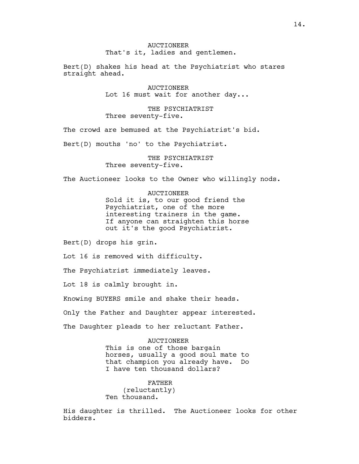## AUCTIONEER That's it, ladies and gentlemen.

Bert(D) shakes his head at the Psychiatrist who stares straight ahead.

> AUCTIONEER Lot 16 must wait for another day...

THE PSYCHIATRIST Three seventy-five.

The crowd are bemused at the Psychiatrist's bid.

Bert(D) mouths 'no' to the Psychiatrist.

THE PSYCHIATRIST Three seventy-five.

The Auctioneer looks to the Owner who willingly nods.

AUCTIONEER

Sold it is, to our good friend the Psychiatrist, one of the more interesting trainers in the game. If anyone can straighten this horse out it's the good Psychiatrist.

Bert(D) drops his grin.

Lot 16 is removed with difficulty.

The Psychiatrist immediately leaves.

Lot 18 is calmly brought in.

Knowing BUYERS smile and shake their heads.

Only the Father and Daughter appear interested.

The Daughter pleads to her reluctant Father.

AUCTIONEER This is one of those bargain horses, usually a good soul mate to that champion you already have. Do I have ten thousand dollars?

FATHER (reluctantly) Ten thousand.

His daughter is thrilled. The Auctioneer looks for other bidders.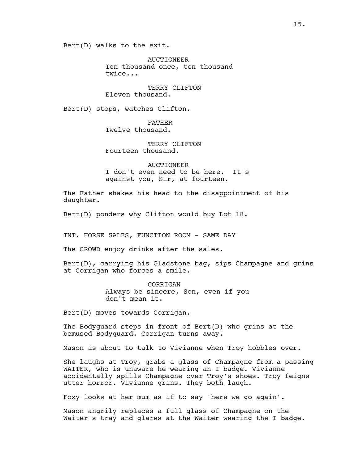Bert(D) walks to the exit.

AUCTIONEER Ten thousand once, ten thousand twice...

TERRY CLIFTON Eleven thousand.

Bert(D) stops, watches Clifton.

FATHER Twelve thousand.

TERRY CLIFTON Fourteen thousand.

AUCTIONEER I don't even need to be here. It's against you, Sir, at fourteen.

The Father shakes his head to the disappointment of his daughter.

Bert(D) ponders why Clifton would buy Lot 18.

INT. HORSE SALES, FUNCTION ROOM - SAME DAY

The CROWD enjoy drinks after the sales.

 $Bert(D)$ , carrying his Gladstone bag, sips Champagne and grins at Corrigan who forces a smile.

> CORRIGAN Always be sincere, Son, even if you don't mean it.

Bert(D) moves towards Corrigan.

The Bodyguard steps in front of Bert(D) who grins at the bemused Bodyguard. Corrigan turns away.

Mason is about to talk to Vivianne when Troy hobbles over.

She laughs at Troy, grabs a glass of Champagne from a passing WAITER, who is unaware he wearing an I badge. Vivianne accidentally spills Champagne over Troy's shoes. Troy feigns utter horror. Vivianne grins. They both laugh.

Foxy looks at her mum as if to say 'here we go again'.

Mason angrily replaces a full glass of Champagne on the Waiter's tray and glares at the Waiter wearing the I badge.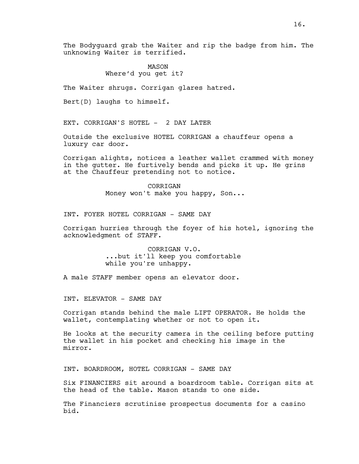The Bodyguard grab the Waiter and rip the badge from him. The unknowing Waiter is terrified.

> MASON Where'd you get it?

The Waiter shrugs. Corrigan glares hatred.

Bert(D) laughs to himself.

EXT. CORRIGAN'S HOTEL - 2 DAY LATER

Outside the exclusive HOTEL CORRIGAN a chauffeur opens a luxury car door.

Corrigan alights, notices a leather wallet crammed with money in the gutter. He furtively bends and picks it up. He grins at the Chauffeur pretending not to notice.

> **CORRIGAN** Money won't make you happy, Son...

INT. FOYER HOTEL CORRIGAN - SAME DAY

Corrigan hurries through the foyer of his hotel, ignoring the acknowledgment of STAFF.

> CORRIGAN V.O. ...but it'll keep you comfortable while you're unhappy.

A male STAFF member opens an elevator door.

INT. ELEVATOR - SAME DAY

Corrigan stands behind the male LIFT OPERATOR. He holds the wallet, contemplating whether or not to open it.

He looks at the security camera in the ceiling before putting the wallet in his pocket and checking his image in the mirror.

INT. BOARDROOM, HOTEL CORRIGAN - SAME DAY

Six FINANCIERS sit around a boardroom table. Corrigan sits at the head of the table. Mason stands to one side.

The Financiers scrutinise prospectus documents for a casino bid.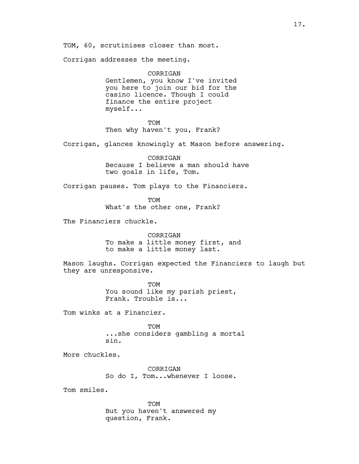TOM, 60, scrutinises closer than most.

Corrigan addresses the meeting.

CORRIGAN Gentlemen, you know I've invited you here to join our bid for the casino licence. Though I could finance the entire project myself...

**TOM** 

Then why haven't you, Frank?

Corrigan, glances knowingly at Mason before answering.

CORRIGAN Because I believe a man should have two goals in life, Tom.

Corrigan pauses. Tom plays to the Financiers.

**TOM** What's the other one, Frank?

The Financiers chuckle.

CORRIGAN To make a little money first, and to make a little money last.

Mason laughs. Corrigan expected the Financiers to laugh but they are unresponsive.

> TOM You sound like my parish priest, Frank. Trouble is...

Tom winks at a Financier.

TOM ...she considers gambling a mortal sin.

More chuckles.

**CORRIGAN** So do I, Tom...whenever I loose.

Tom smiles.

**TOM** But you haven't answered my question, Frank.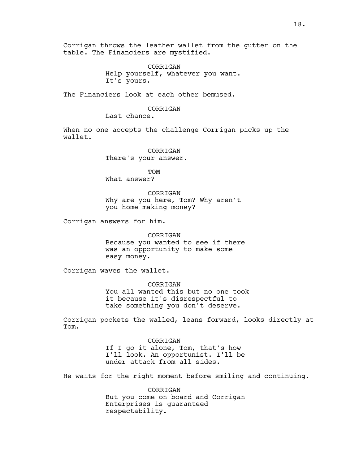Corrigan throws the leather wallet from the gutter on the table. The Financiers are mystified.

> CORRIGAN Help yourself, whatever you want. It's yours.

The Financiers look at each other bemused.

#### **CORRIGAN**

Last chance.

When no one accepts the challenge Corrigan picks up the wallet.

> CORRIGAN There's your answer.

> > TOM

What answer?

# CORRIGAN

Why are you here, Tom? Why aren't you home making money?

Corrigan answers for him.

CORRIGAN Because you wanted to see if there was an opportunity to make some easy money.

Corrigan waves the wallet.

CORRIGAN You all wanted this but no one took it because it's disrespectful to take something you don't deserve.

Corrigan pockets the walled, leans forward, looks directly at Tom.

> CORRIGAN If I go it alone, Tom, that's how I'll look. An opportunist. I'll be under attack from all sides.

He waits for the right moment before smiling and continuing.

CORRIGAN But you come on board and Corrigan Enterprises is guaranteed respectability.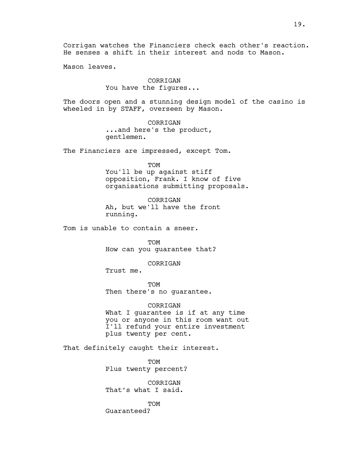Corrigan watches the Financiers check each other's reaction. He senses a shift in their interest and nods to Mason.

Mason leaves.

CORRIGAN You have the figures...

The doors open and a stunning design model of the casino is wheeled in by STAFF, overseen by Mason.

> CORRIGAN ...and here's the product, gentlemen.

The Financiers are impressed, except Tom.

TOM

You'll be up against stiff opposition, Frank. I know of five organisations submitting proposals.

**CORRIGAN** Ah, but we'll have the front running.

Tom is unable to contain a sneer.

TOM How can you guarantee that?

CORRIGAN

Trust me.

TOM Then there's no guarantee.

CORRIGAN What I guarantee is if at any time you or anyone in this room want out I'll refund your entire investment plus twenty per cent.

That definitely caught their interest.

TOM Plus twenty percent?

CORRIGAN That's what I said.

TOM Guaranteed?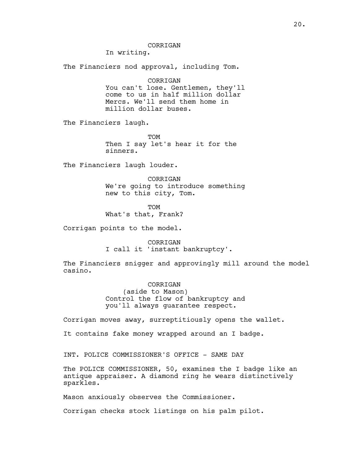In writing.

The Financiers nod approval, including Tom.

CORRIGAN You can't lose. Gentlemen, they'll come to us in half million dollar Mercs. We'll send them home in million dollar buses.

The Financiers laugh.

**TOM** Then I say let's hear it for the sinners.

The Financiers laugh louder.

CORRIGAN We're going to introduce something new to this city, Tom.

**TOM** What's that, Frank?

Corrigan points to the model.

CORRIGAN I call it 'instant bankruptcy'.

The Financiers snigger and approvingly mill around the model casino.

> CORRIGAN (aside to Mason) Control the flow of bankruptcy and you'll always guarantee respect.

Corrigan moves away, surreptitiously opens the wallet.

It contains fake money wrapped around an I badge.

INT. POLICE COMMISSIONER'S OFFICE - SAME DAY

The POLICE COMMISSIONER, 50, examines the I badge like an antique appraiser. A diamond ring he wears distinctively sparkles.

Mason anxiously observes the Commissioner.

Corrigan checks stock listings on his palm pilot.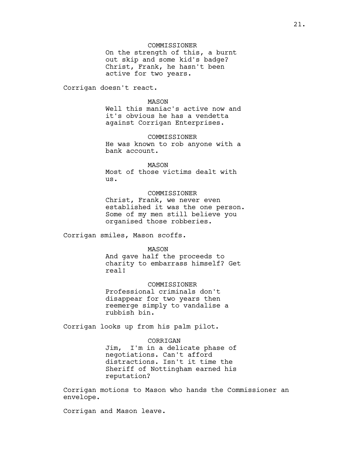## COMMISSIONER

On the strength of this, a burnt out skip and some kid's badge? Christ, Frank, he hasn't been active for two years.

Corrigan doesn't react.

### MASON

Well this maniac's active now and it's obvious he has a vendetta against Corrigan Enterprises.

COMMISSIONER He was known to rob anyone with a bank account.

#### MASON

Most of those victims dealt with us.

## COMMISSIONER

Christ, Frank, we never even established it was the one person. Some of my men still believe you organised those robberies.

Corrigan smiles, Mason scoffs.

MASON

And gave half the proceeds to charity to embarrass himself? Get real!

COMMISSIONER Professional criminals don't disappear for two years then reemerge simply to vandalise a rubbish bin.

Corrigan looks up from his palm pilot.

CORRIGAN Jim, I'm in a delicate phase of negotiations. Can't afford distractions. Isn't it time the Sheriff of Nottingham earned his reputation?

Corrigan motions to Mason who hands the Commissioner an envelope.

Corrigan and Mason leave.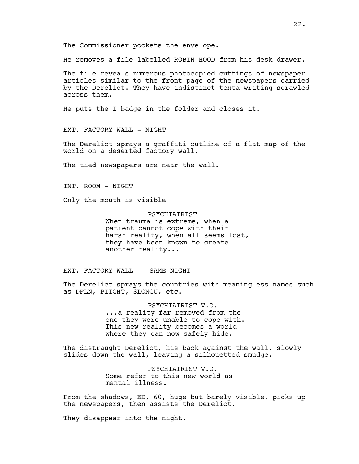The Commissioner pockets the envelope.

He removes a file labelled ROBIN HOOD from his desk drawer.

The file reveals numerous photocopied cuttings of newspaper articles similar to the front page of the newspapers carried by the Derelict. They have indistinct texta writing scrawled across them.

He puts the I badge in the folder and closes it.

EXT. FACTORY WALL - NIGHT

The Derelict sprays a graffiti outline of a flat map of the world on a deserted factory wall.

The tied newspapers are near the wall.

INT. ROOM - NIGHT

Only the mouth is visible

PSYCHIATRIST When trauma is extreme, when a patient cannot cope with their harsh reality, when all seems lost, they have been known to create another reality...

EXT. FACTORY WALL - SAME NIGHT

The Derelict sprays the countries with meaningless names such as DFLN, PITGHT, SLONGU, etc.

> PSYCHIATRIST V.O. ...a reality far removed from the one they were unable to cope with. This new reality becomes a world where they can now safely hide.

The distraught Derelict, his back against the wall, slowly slides down the wall, leaving a silhouetted smudge.

> PSYCHIATRIST V.O. Some refer to this new world as mental illness.

From the shadows, ED, 60, huge but barely visible, picks up the newspapers, then assists the Derelict.

They disappear into the night.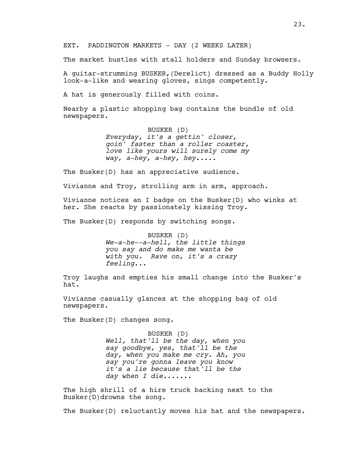EXT. PADDINGTON MARKETS - DAY (2 WEEKS LATER)

The market bustles with stall holders and Sunday browsers.

A guitar-strumming BUSKER,(Derelict) dressed as a Buddy Holly look-a-like and wearing gloves, sings competently.

A hat is generously filled with coins.

Nearby a plastic shopping bag contains the bundle of old newspapers.

> BUSKER (D) Everyday, it's a gettin' closer, goin' faster than a roller coaster, love like yours will surely come my way, a-hey, a-hey, hey.....

The Busker(D) has an appreciative audience.

Vivianne and Troy, strolling arm in arm, approach.

Vivianne notices an I badge on the Busker(D) who winks at her. She reacts by passionately kissing Troy.

The Busker(D) responds by switching songs.

BUSKER (D) We-a-he--a-hell, the little things you say and do make me wanta be with you. Rave on, it's a crazy feeling...

Troy laughs and empties his small change into the Busker's hat.

Vivianne casually glances at the shopping bag of old newspapers.

The Busker(D) changes song.

BUSKER (D) Well, that'll be the day, when you say goodbye, yes, that'll be the day, when you make me cry. Ah, you say you're gonna leave you know it's a lie because that'll be the day when I die.......

The high shrill of a hire truck backing next to the Busker(D)drowns the song.

The Busker(D) reluctantly moves his hat and the newspapers.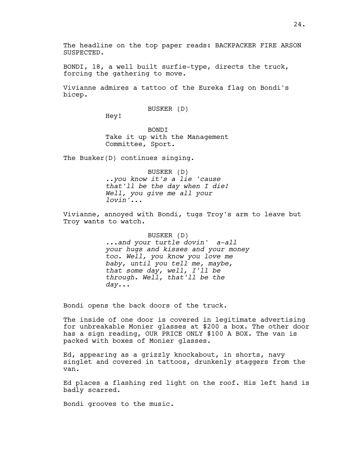The headline on the top paper reads: BACKPACKER FIRE ARSON SUSPECTED.

BONDI, 18, a well built surfie-type, directs the truck, forcing the gathering to move.

Vivianne admires a tattoo of the Eureka flag on Bondi's bicep.

BUSKER (D)

Hey!

BONDI Take it up with the Management Committee, Sport.

The Busker(D) continues singing.

BUSKER (D) ..you know it's a lie 'cause that'll be the day when I die! Well, you give me all your lovin'...

Vivianne, annoyed with Bondi, tugs Troy's arm to leave but Troy wants to watch.

> BUSKER (D) ...and your turtle dovin' a-all your hugs and kisses and your money too. Well, you know you love me baby, until you tell me, maybe, that some day, well, I'll be through. Well, that'll be the day...

Bondi opens the back doors of the truck.

The inside of one door is covered in legitimate advertising for unbreakable Monier glasses at \$200 a box. The other door has a sign reading, OUR PRICE ONLY \$100 A BOX. The van is packed with boxes of Monier glasses.

Ed, appearing as a grizzly knockabout, in shorts, navy singlet and covered in tattoos, drunkenly staggers from the van.

Ed places a flashing red light on the roof. His left hand is badly scarred.

Bondi grooves to the music.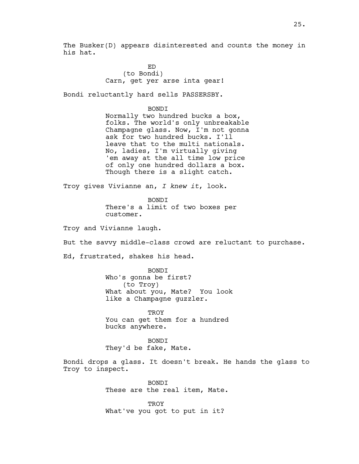The Busker(D) appears disinterested and counts the money in his hat.

> ED (to Bondi) Carn, get yer arse inta gear!

Bondi reluctantly hard sells PASSERSBY.

BONDI Normally two hundred bucks a box, folks. The world's only unbreakable Champagne glass. Now, I'm not gonna ask for two hundred bucks. I'll leave that to the multi nationals. No, ladies, I'm virtually giving 'em away at the all time low price of only one hundred dollars a box. Though there is a slight catch.

Troy gives Vivianne an, I knew it, look.

**BONDT** There's a limit of two boxes per customer.

Troy and Vivianne laugh.

But the savvy middle-class crowd are reluctant to purchase.

Ed, frustrated, shakes his head.

BONDI Who's gonna be first? (to Troy) What about you, Mate? You look like a Champagne guzzler.

**TROY** You can get them for a hundred bucks anywhere.

BONDI They'd be fake, Mate.

Bondi drops a glass. It doesn't break. He hands the glass to Troy to inspect.

> **BONDT** These are the real item, Mate.

**TROY** What've you got to put in it?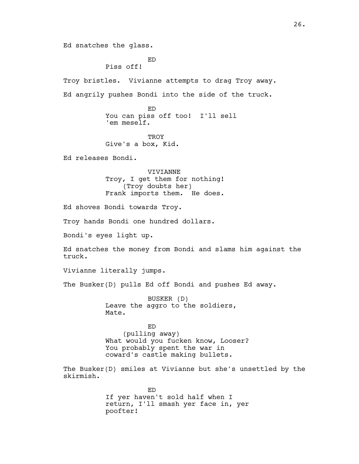Ed snatches the glass.

ED Piss off!

Troy bristles. Vivianne attempts to drag Troy away.

Ed angrily pushes Bondi into the side of the truck.

ED You can piss off too! I'll sell 'em meself.

TROY Give's a box, Kid.

Ed releases Bondi.

VIVIANNE Troy, I get them for nothing! (Troy doubts her) Frank imports them. He does.

Ed shoves Bondi towards Troy.

Troy hands Bondi one hundred dollars.

Bondi's eyes light up.

Ed snatches the money from Bondi and slams him against the truck.

Vivianne literally jumps.

The Busker(D) pulls Ed off Bondi and pushes Ed away.

BUSKER (D) Leave the aggro to the soldiers, Mate.

ED (pulling away) What would you fucken know, Looser? You probably spent the war in coward's castle making bullets.

The Busker(D) smiles at Vivianne but she's unsettled by the skirmish.

> ED If yer haven't sold half when I return, I'll smash yer face in, yer poofter!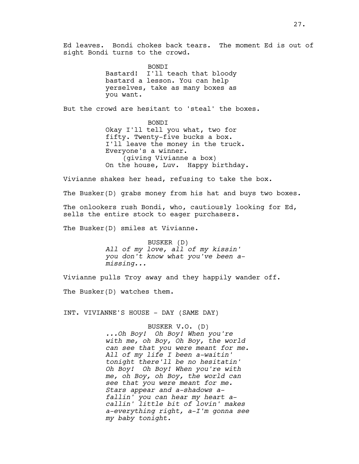Ed leaves. Bondi chokes back tears. The moment Ed is out of sight Bondi turns to the crowd.

> BONDI Bastard! I'll teach that bloody bastard a lesson. You can help yerselves, take as many boxes as you want.

But the crowd are hesitant to 'steal' the boxes.

BONDI Okay I'll tell you what, two for fifty. Twenty-five bucks a box. I'll leave the money in the truck. Everyone's a winner. (giving Vivianne a box) On the house, Luv. Happy birthday.

Vivianne shakes her head, refusing to take the box.

The Busker(D) grabs money from his hat and buys two boxes.

The onlookers rush Bondi, who, cautiously looking for Ed, sells the entire stock to eager purchasers.

The Busker(D) smiles at Vivianne.

BUSKER (D) All of my love, all of my kissin' you don't know what you've been amissing...

Vivianne pulls Troy away and they happily wander off.

The Busker(D) watches them.

INT. VIVIANNE'S HOUSE - DAY (SAME DAY)

#### BUSKER V.O. (D)

...Oh Boy! Oh Boy! When you're with me, oh Boy, Oh Boy, the world can see that you were meant for me. All of my life I been a-waitin' tonight there'll be no hesitatin' Oh Boy! Oh Boy! When you're with me, oh Boy, oh Boy, the world can see that you were meant for me. Stars appear and a-shadows afallin' you can hear my heart acallin' little bit of lovin' makes a-everything right, a-I'm gonna see my baby tonight.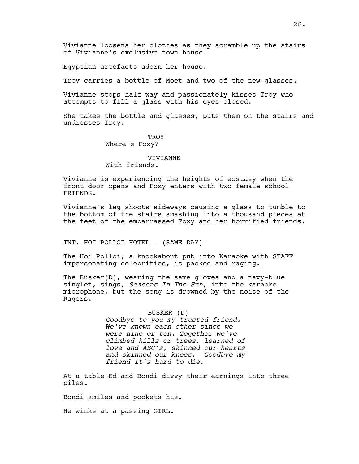Vivianne loosens her clothes as they scramble up the stairs of Vivianne's exclusive town house.

Egyptian artefacts adorn her house.

Troy carries a bottle of Moet and two of the new glasses.

Vivianne stops half way and passionately kisses Troy who attempts to fill a glass with his eyes closed.

She takes the bottle and glasses, puts them on the stairs and undresses Troy.

> TROY Where's Foxy?

#### VIVIANNE With friends.

Vivianne is experiencing the heights of ecstasy when the front door opens and Foxy enters with two female school FRIENDS.

Vivianne's leg shoots sideways causing a glass to tumble to the bottom of the stairs smashing into a thousand pieces at the feet of the embarrassed Foxy and her horrified friends.

INT. HOI POLLOI HOTEL - (SAME DAY)

The Hoi Polloi, a knockabout pub into Karaoke with STAFF impersonating celebrities, is packed and raging.

The Busker(D), wearing the same gloves and a navy-blue singlet, sings, Seasons In The Sun, into the karaoke microphone, but the song is drowned by the noise of the Ragers.

### BUSKER (D)

Goodbye to you my trusted friend. We've known each other since we were nine or ten. Together we've climbed hills or trees, learned of love and ABC's, skinned our hearts and skinned our knees. Goodbye my friend it's hard to die.

At a table Ed and Bondi divvy their earnings into three piles.

Bondi smiles and pockets his.

He winks at a passing GIRL.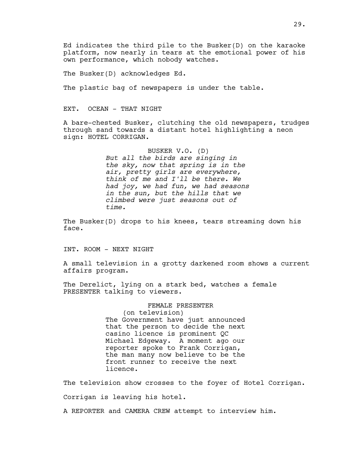Ed indicates the third pile to the Busker(D) on the karaoke platform, now nearly in tears at the emotional power of his own performance, which nobody watches.

The Busker(D) acknowledges Ed.

The plastic bag of newspapers is under the table.

#### EXT. OCEAN - THAT NIGHT

A bare-chested Busker, clutching the old newspapers, trudges through sand towards a distant hotel highlighting a neon sign: HOTEL CORRIGAN.

> BUSKER V.O. (D) But all the birds are singing in the sky, now that spring is in the air, pretty girls are everywhere, think of me and I'll be there. We had joy, we had fun, we had seasons in the sun, but the hills that we climbed were just seasons out of time.

The Busker(D) drops to his knees, tears streaming down his face.

INT. ROOM - NEXT NIGHT

A small television in a grotty darkened room shows a current affairs program.

The Derelict, lying on a stark bed, watches a female PRESENTER talking to viewers.

> FEMALE PRESENTER (on television) The Government have just announced that the person to decide the next casino licence is prominent QC Michael Edgeway. A moment ago our reporter spoke to Frank Corrigan, the man many now believe to be the front runner to receive the next licence.

The television show crosses to the foyer of Hotel Corrigan. Corrigan is leaving his hotel.

A REPORTER and CAMERA CREW attempt to interview him.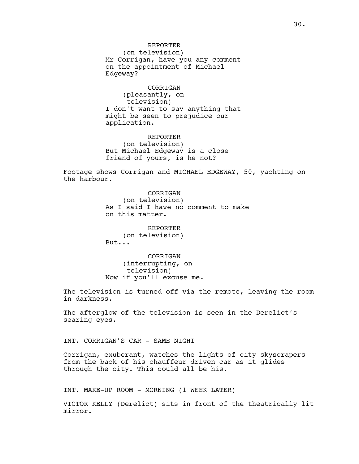REPORTER (on television) Mr Corrigan, have you any comment on the appointment of Michael Edgeway?

CORRIGAN (pleasantly, on television) I don't want to say anything that might be seen to prejudice our application.

REPORTER (on television) But Michael Edgeway is a close friend of yours, is he not?

Footage shows Corrigan and MICHAEL EDGEWAY, 50, yachting on the harbour.

> CORRIGAN (on television) As I said I have no comment to make on this matter.

REPORTER (on television) But...

CORRIGAN (interrupting, on television) Now if you'll excuse me.

The television is turned off via the remote, leaving the room in darkness.

The afterglow of the television is seen in the Derelict's searing eyes.

INT. CORRIGAN'S CAR - SAME NIGHT

Corrigan, exuberant, watches the lights of city skyscrapers from the back of his chauffeur driven car as it glides through the city. This could all be his.

INT. MAKE-UP ROOM - MORNING (1 WEEK LATER)

VICTOR KELLY (Derelict) sits in front of the theatrically lit mirror.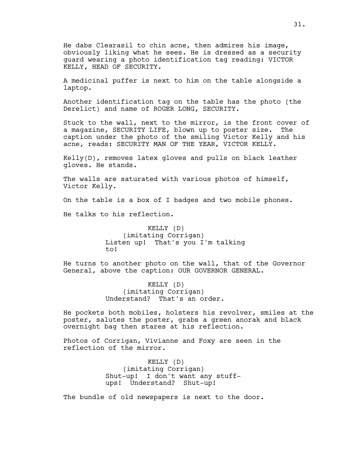He dabs Clearasil to chin acne, then admires his image, obviously liking what he sees. He is dressed as a security guard wearing a photo identification tag reading: VICTOR KELLY, HEAD OF SECURITY.

A medicinal puffer is next to him on the table alongside a laptop.

Another identification tag on the table has the photo (the Derelict) and name of ROGER LONG, SECURITY.

Stuck to the wall, next to the mirror, is the front cover of a magazine, SECURITY LIFE, blown up to poster size. The caption under the photo of the smiling Victor Kelly and his acne, reads: SECURITY MAN OF THE YEAR, VICTOR KELLY.

Kelly(D), removes latex gloves and pulls on black leather gloves. He stands.

The walls are saturated with various photos of himself, Victor Kelly.

On the table is a box of I badges and two mobile phones.

He talks to his reflection.

KELLY (D) (imitating Corrigan) Listen up! That's you I'm talking to!

He turns to another photo on the wall, that of the Governor General, above the caption: OUR GOVERNOR GENERAL.

> KELLY (D) (imitating Corrigan) Understand? That's an order.

He pockets both mobiles, holsters his revolver, smiles at the poster, salutes the poster, grabs a green anorak and black overnight bag then stares at his reflection.

Photos of Corrigan, Vivianne and Foxy are seen in the reflection of the mirror.

> KELLY (D) (imitating Corrigan) Shut-up! I don't want any stuffups! Understand? Shut-up!

The bundle of old newspapers is next to the door.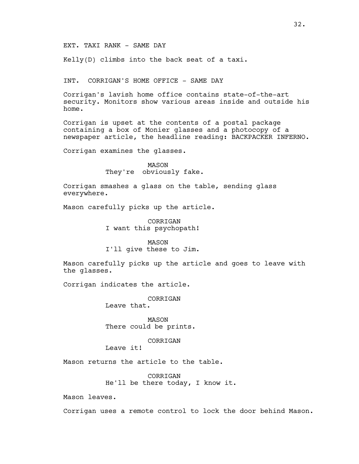EXT. TAXI RANK - SAME DAY

Kelly(D) climbs into the back seat of a taxi.

INT. CORRIGAN'S HOME OFFICE - SAME DAY

Corrigan's lavish home office contains state-of-the-art security. Monitors show various areas inside and outside his home.

Corrigan is upset at the contents of a postal package containing a box of Monier glasses and a photocopy of a newspaper article, the headline reading: BACKPACKER INFERNO.

Corrigan examines the glasses.

MASON They're obviously fake.

Corrigan smashes a glass on the table, sending glass everywhere.

Mason carefully picks up the article.

CORRIGAN I want this psychopath!

MASON I'll give these to Jim.

Mason carefully picks up the article and goes to leave with the glasses.

Corrigan indicates the article.

CORRIGAN

Leave that.

MASON There could be prints.

# CORRIGAN

Leave it!

Mason returns the article to the table.

CORRIGAN He'll be there today, I know it.

Mason leaves.

Corrigan uses a remote control to lock the door behind Mason.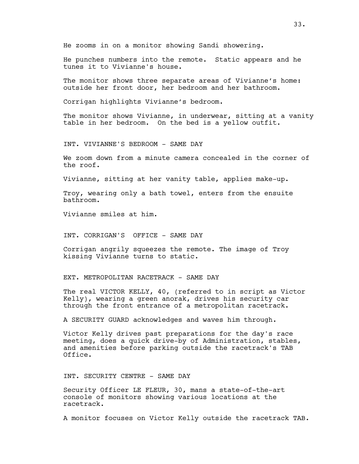He zooms in on a monitor showing Sandi showering.

He punches numbers into the remote. Static appears and he tunes it to Vivianne's house.

The monitor shows three separate areas of Vivianne's home: outside her front door, her bedroom and her bathroom.

Corrigan highlights Vivianne's bedroom.

The monitor shows Vivianne, in underwear, sitting at a vanity table in her bedroom. On the bed is a yellow outfit.

INT. VIVIANNE'S BEDROOM - SAME DAY

We zoom down from a minute camera concealed in the corner of the roof.

Vivianne, sitting at her vanity table, applies make-up.

Troy, wearing only a bath towel, enters from the ensuite bathroom.

Vivianne smiles at him.

INT. CORRIGAN'S OFFICE - SAME DAY

Corrigan angrily squeezes the remote. The image of Troy kissing Vivianne turns to static.

EXT. METROPOLITAN RACETRACK - SAME DAY

The real VICTOR KELLY, 40, (referred to in script as Victor Kelly), wearing a green anorak, drives his security car through the front entrance of a metropolitan racetrack.

A SECURITY GUARD acknowledges and waves him through.

Victor Kelly drives past preparations for the day's race meeting, does a quick drive-by of Administration, stables, and amenities before parking outside the racetrack's TAB Office.

INT. SECURITY CENTRE - SAME DAY

Security Officer LE FLEUR, 30, mans a state-of-the-art console of monitors showing various locations at the racetrack.

A monitor focuses on Victor Kelly outside the racetrack TAB.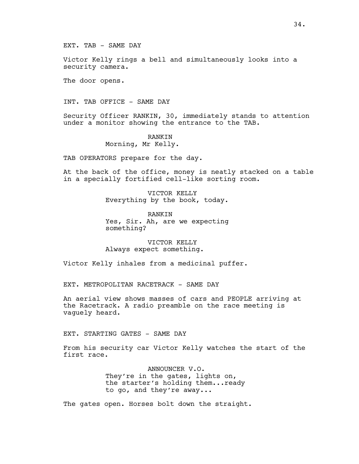EXT. TAB - SAME DAY

Victor Kelly rings a bell and simultaneously looks into a security camera.

The door opens.

INT. TAB OFFICE - SAME DAY

Security Officer RANKIN, 30, immediately stands to attention under a monitor showing the entrance to the TAB.

## **RANKIN** Morning, Mr Kelly.

TAB OPERATORS prepare for the day.

At the back of the office, money is neatly stacked on a table in a specially fortified cell-like sorting room.

> VICTOR KELLY Everything by the book, today.

> RANKIN Yes, Sir. Ah, are we expecting something?

## VICTOR KELLY Always expect something.

Victor Kelly inhales from a medicinal puffer.

EXT. METROPOLITAN RACETRACK - SAME DAY

An aerial view shows masses of cars and PEOPLE arriving at the Racetrack. A radio preamble on the race meeting is vaguely heard.

EXT. STARTING GATES - SAME DAY

From his security car Victor Kelly watches the start of the first race.

> ANNOUNCER V.O. They're in the gates, lights on, the starter's holding them...ready to go, and they're away...

The gates open. Horses bolt down the straight.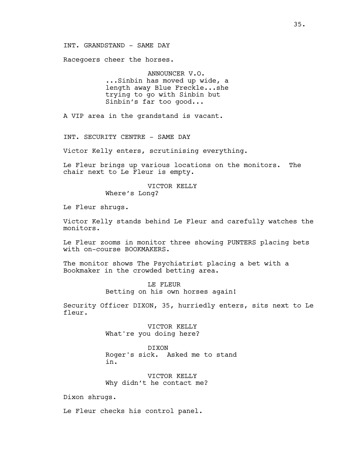INT. GRANDSTAND - SAME DAY

Racegoers cheer the horses.

ANNOUNCER V.O. ...Sinbin has moved up wide, a length away Blue Freckle...she trying to go with Sinbin but Sinbin's far too good...

A VIP area in the grandstand is vacant.

INT. SECURITY CENTRE - SAME DAY

Victor Kelly enters, scrutinising everything.

Le Fleur brings up various locations on the monitors. The chair next to Le Fleur is empty.

> VICTOR KELLY Where's Long?

Le Fleur shrugs.

Victor Kelly stands behind Le Fleur and carefully watches the monitors.

Le Fleur zooms in monitor three showing PUNTERS placing bets with on-course BOOKMAKERS.

The monitor shows The Psychiatrist placing a bet with a Bookmaker in the crowded betting area.

> LE FLEUR Betting on his own horses again!

Security Officer DIXON, 35, hurriedly enters, sits next to Le fleur.

> VICTOR KELLY What're you doing here?

DIXON Roger's sick. Asked me to stand in.

VICTOR KELLY Why didn't he contact me?

Dixon shrugs.

Le Fleur checks his control panel.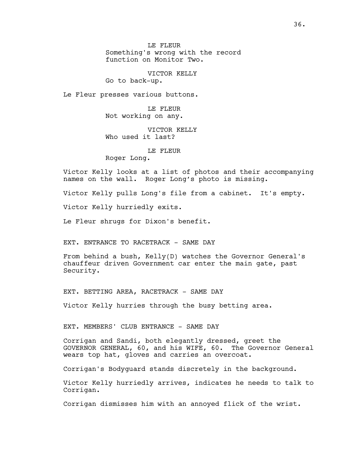LE FLEUR Something's wrong with the record function on Monitor Two.

VICTOR KELLY

Go to back-up.

Le Fleur presses various buttons.

LE FLEUR Not working on any.

VICTOR KELLY Who used it last?

LE FLEUR

Roger Long.

Victor Kelly looks at a list of photos and their accompanying names on the wall. Roger Long's photo is missing.

Victor Kelly pulls Long's file from a cabinet. It's empty.

Victor Kelly hurriedly exits.

Le Fleur shrugs for Dixon's benefit.

EXT. ENTRANCE TO RACETRACK - SAME DAY

From behind a bush, Kelly(D) watches the Governor General's chauffeur driven Government car enter the main gate, past Security.

EXT. BETTING AREA, RACETRACK - SAME DAY

Victor Kelly hurries through the busy betting area.

EXT. MEMBERS' CLUB ENTRANCE - SAME DAY

Corrigan and Sandi, both elegantly dressed, greet the GOVERNOR GENERAL, 60, and his WIFE, 60. The Governor General wears top hat, gloves and carries an overcoat.

Corrigan's Bodyguard stands discretely in the background.

Victor Kelly hurriedly arrives, indicates he needs to talk to Corrigan.

Corrigan dismisses him with an annoyed flick of the wrist.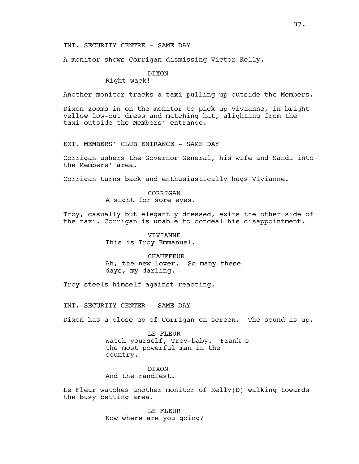## INT. SECURITY CENTRE - SAME DAY

A monitor shows Corrigan dismissing Victor Kelly.

## DIXON

Right wack!

Another monitor tracks a taxi pulling up outside the Members.

Dixon zooms in on the monitor to pick up Vivianne, in bright yellow low-cut dress and matching hat, alighting from the taxi outside the Members' entrance.

EXT. MEMBERS' CLUB ENTRANCE - SAME DAY

Corrigan ushers the Governor General, his wife and Sandi into the Members' area.

Corrigan turns back and enthusiastically hugs Vivianne.

CORRIGAN A sight for sore eyes.

Troy, casually but elegantly dressed, exits the other side of the taxi. Corrigan is unable to conceal his disappointment.

> VIVIANNE This is Troy Emmanuel.

CHAUFFEUR Ah, the new lover. So many these days, my darling.

Troy steels himself against reacting.

INT. SECURITY CENTER - SAME DAY

Dixon has a close up of Corrigan on screen. The sound is up.

LE FLEUR Watch yourself, Troy-baby. Frank's the most powerful man in the country.

**DIXON** And the randiest.

Le Fleur watches another monitor of Kelly(D) walking towards the busy betting area.

> LE FLEUR Now where are you going?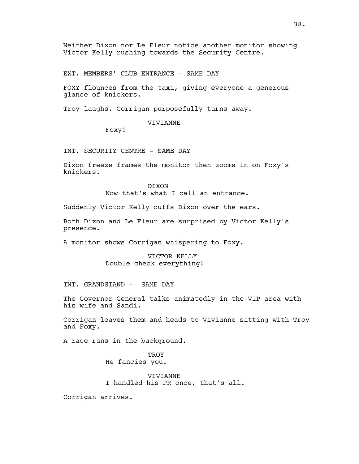Neither Dixon nor Le Fleur notice another monitor showing Victor Kelly rushing towards the Security Centre.

EXT. MEMBERS' CLUB ENTRANCE - SAME DAY

FOXY flounces from the taxi, giving everyone a generous glance of knickers.

Troy laughs. Corrigan purposefully turns away.

VIVIANNE

Foxy!

INT. SECURITY CENTRE - SAME DAY

Dixon freeze frames the monitor then zooms in on Foxy's knickers.

> **DIXON** Now that's what I call an entrance.

Suddenly Victor Kelly cuffs Dixon over the ears.

Both Dixon and Le Fleur are surprised by Victor Kelly's presence.

A monitor shows Corrigan whispering to Foxy.

VICTOR KELLY Double check everything!

INT. GRANDSTAND - SAME DAY

The Governor General talks animatedly in the VIP area with his wife and Sandi.

Corrigan leaves them and heads to Vivianne sitting with Troy and Foxy.

A race runs in the background.

**TROY** He fancies you.

VIVIANNE I handled his PR once, that's all.

Corrigan arrives.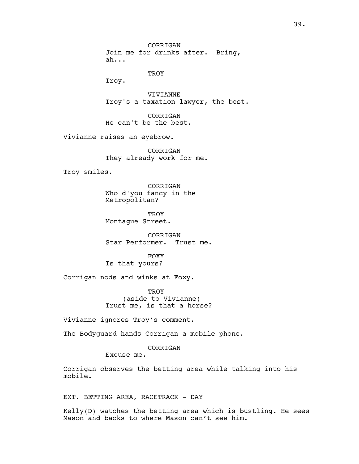CORRIGAN Join me for drinks after. Bring, ah...

TROY

Troy.

VIVIANNE Troy's a taxation lawyer, the best.

CORRIGAN He can't be the best.

Vivianne raises an eyebrow.

CORRIGAN They already work for me.

Troy smiles.

CORRIGAN Who d'you fancy in the Metropolitan?

TROY Montague Street.

CORRIGAN Star Performer. Trust me.

FOXY Is that yours?

Corrigan nods and winks at Foxy.

**TROY** (aside to Vivianne) Trust me, is that a horse?

Vivianne ignores Troy's comment.

The Bodyguard hands Corrigan a mobile phone.

CORRIGAN

Excuse me.

Corrigan observes the betting area while talking into his mobile.

EXT. BETTING AREA, RACETRACK - DAY

 $Kelly(D)$  watches the betting area which is bustling. He sees Mason and backs to where Mason can't see him.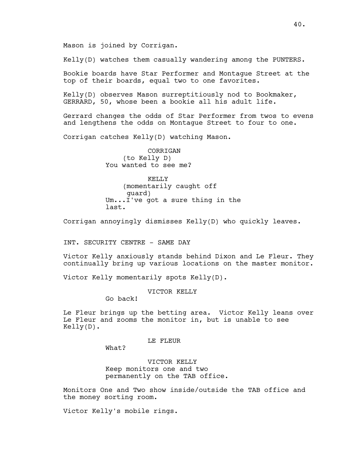Mason is joined by Corrigan.

Kelly(D) watches them casually wandering among the PUNTERS.

Bookie boards have Star Performer and Montague Street at the top of their boards, equal two to one favorites.

Kelly(D) observes Mason surreptitiously nod to Bookmaker, GERRARD, 50, whose been a bookie all his adult life.

Gerrard changes the odds of Star Performer from twos to evens and lengthens the odds on Montague Street to four to one.

Corrigan catches Kelly(D) watching Mason.

CORRIGAN (to Kelly D) You wanted to see me?

KELLY (momentarily caught off guard) Um...I've got a sure thing in the last.

Corrigan annoyingly dismisses Kelly(D) who quickly leaves.

INT. SECURITY CENTRE - SAME DAY

Victor Kelly anxiously stands behind Dixon and Le Fleur. They continually bring up various locations on the master monitor.

Victor Kelly momentarily spots Kelly(D).

VICTOR KELLY

Go back!

Le Fleur brings up the betting area. Victor Kelly leans over Le Fleur and zooms the monitor in, but is unable to see Kelly(D).

#### LE FLEUR

What?

VICTOR KELLY Keep monitors one and two permanently on the TAB office.

Monitors One and Two show inside/outside the TAB office and the money sorting room.

Victor Kelly's mobile rings.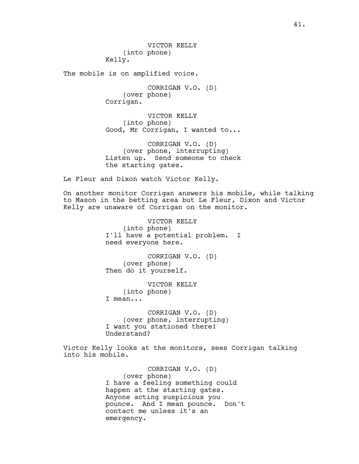The mobile is on amplified voice.

CORRIGAN V.O. (D) (over phone) Corrigan.

VICTOR KELLY (into phone) Good, Mr Corrigan, I wanted to...

CORRIGAN V.O. (D) (over phone, interrupting) Listen up. Send someone to check the starting gates.

Le Fleur and Dixon watch Victor Kelly.

On another monitor Corrigan answers his mobile, while talking to Mason in the betting area but Le Fleur, Dixon and Victor Kelly are unaware of Corrigan on the monitor.

> VICTOR KELLY (into phone) I'll have a potential problem. I need everyone here.

CORRIGAN V.O. (D) (over phone) Then do it yourself.

VICTOR KELLY (into phone) I mean...

CORRIGAN V.O. (D) (over phone, interrupting) I want you stationed there! Understand?

Victor Kelly looks at the monitors, sees Corrigan talking into his mobile.

> CORRIGAN V.O. (D) (over phone) I have a feeling something could happen at the starting gates. Anyone acting suspicious you pounce. And I mean pounce. Don't contact me unless it's an emergency.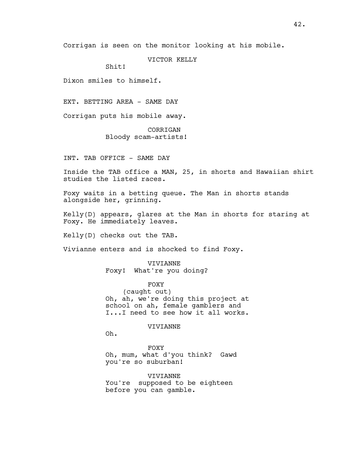Corrigan is seen on the monitor looking at his mobile.

VICTOR KELLY

Shit!

Dixon smiles to himself.

EXT. BETTING AREA - SAME DAY

Corrigan puts his mobile away.

CORRIGAN Bloody scam-artists!

INT. TAB OFFICE - SAME DAY

Inside the TAB office a MAN, 25, in shorts and Hawaiian shirt studies the listed races.

Foxy waits in a betting queue. The Man in shorts stands alongside her, grinning.

Kelly(D) appears, glares at the Man in shorts for staring at Foxy. He immediately leaves.

Kelly(D) checks out the TAB.

Vivianne enters and is shocked to find Foxy.

VIVIANNE Foxy! What're you doing?

FOXY (caught out) Oh, ah, we're doing this project at school on ah, female gamblers and I...I need to see how it all works.

VIVIANNE

Oh.

FOXY Oh, mum, what d'you think? Gawd you're so suburban!

VIVIANNE You're supposed to be eighteen before you can gamble.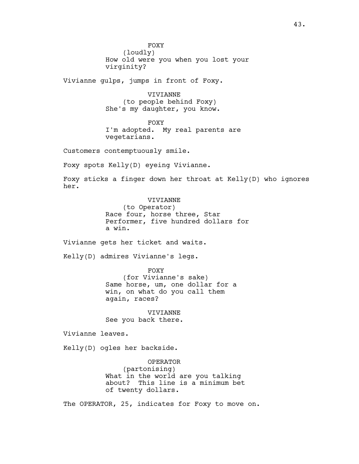**FOXY** (loudly) How old were you when you lost your virginity?

Vivianne gulps, jumps in front of Foxy.

VIVIANNE (to people behind Foxy) She's my daughter, you know.

FOXY I'm adopted. My real parents are vegetarians.

Customers contemptuously smile.

Foxy spots Kelly(D) eyeing Vivianne.

Foxy sticks a finger down her throat at Kelly(D) who ignores her.

> VIVIANNE (to Operator) Race four, horse three, Star Performer, five hundred dollars for a win.

Vivianne gets her ticket and waits.

Kelly(D) admires Vivianne's legs.

FOXY (for Vivianne's sake) Same horse, um, one dollar for a win, on what do you call them again, races?

VIVIANNE See you back there.

Vivianne leaves.

Kelly(D) ogles her backside.

OPERATOR (partonising) What in the world are you talking about? This line is a minimum bet of twenty dollars.

The OPERATOR, 25, indicates for Foxy to move on.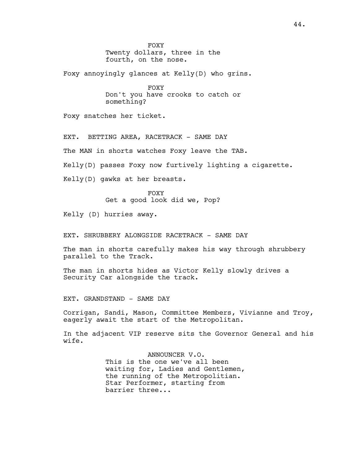FOXY Twenty dollars, three in the fourth, on the nose.

Foxy annoyingly glances at Kelly(D) who grins.

FOXY Don't you have crooks to catch or something?

Foxy snatches her ticket.

EXT. BETTING AREA, RACETRACK - SAME DAY

The MAN in shorts watches Foxy leave the TAB.

Kelly(D) passes Foxy now furtively lighting a cigarette.

Kelly(D) gawks at her breasts.

FOXY Get a good look did we, Pop?

Kelly (D) hurries away.

EXT. SHRUBBERY ALONGSIDE RACETRACK - SAME DAY

The man in shorts carefully makes his way through shrubbery parallel to the Track.

The man in shorts hides as Victor Kelly slowly drives a Security Car alongside the track.

EXT. GRANDSTAND - SAME DAY

Corrigan, Sandi, Mason, Committee Members, Vivianne and Troy, eagerly await the start of the Metropolitan.

In the adjacent VIP reserve sits the Governor General and his wife.

> ANNOUNCER V.O. This is the one we've all been waiting for, Ladies and Gentlemen, the running of the Metropolitian. Star Performer, starting from barrier three...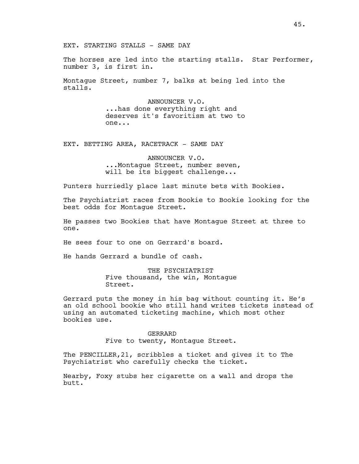The horses are led into the starting stalls. Star Performer, number 3, is first in.

Montague Street, number 7, balks at being led into the stalls.

> ANNOUNCER V.O. ...has done everything right and deserves it's favoritism at two to one...

EXT. BETTING AREA, RACETRACK - SAME DAY

ANNOUNCER V.O. ...Montague Street, number seven, will be its biggest challenge...

Punters hurriedly place last minute bets with Bookies.

The Psychiatrist races from Bookie to Bookie looking for the best odds for Montague Street.

He passes two Bookies that have Montague Street at three to one.

He sees four to one on Gerrard's board.

He hands Gerrard a bundle of cash.

THE PSYCHIATRIST Five thousand, the win, Montague Street.

Gerrard puts the money in his bag without counting it. He's an old school bookie who still hand writes tickets instead of using an automated ticketing machine, which most other bookies use.

#### GERRARD

Five to twenty, Montague Street.

The PENCILLER,21, scribbles a ticket and gives it to The Psychiatrist who carefully checks the ticket.

Nearby, Foxy stubs her cigarette on a wall and drops the butt.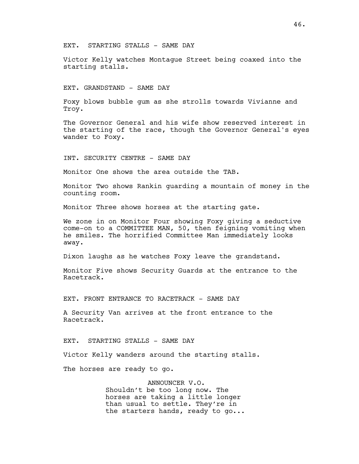EXT. STARTING STALLS - SAME DAY

Victor Kelly watches Montague Street being coaxed into the starting stalls.

EXT. GRANDSTAND - SAME DAY

Foxy blows bubble gum as she strolls towards Vivianne and Troy.

The Governor General and his wife show reserved interest in the starting of the race, though the Governor General's eyes wander to Foxy.

INT. SECURITY CENTRE - SAME DAY

Monitor One shows the area outside the TAB.

Monitor Two shows Rankin guarding a mountain of money in the counting room.

Monitor Three shows horses at the starting gate.

We zone in on Monitor Four showing Foxy giving a seductive come-on to a COMMITTEE MAN, 50, then feigning vomiting when he smiles. The horrified Committee Man immediately looks away.

Dixon laughs as he watches Foxy leave the grandstand.

Monitor Five shows Security Guards at the entrance to the Racetrack.

EXT. FRONT ENTRANCE TO RACETRACK - SAME DAY

A Security Van arrives at the front entrance to the Racetrack.

EXT. STARTING STALLS - SAME DAY

Victor Kelly wanders around the starting stalls.

The horses are ready to go.

ANNOUNCER V.O. Shouldn't be too long now. The horses are taking a little longer than usual to settle. They're in the starters hands, ready to go...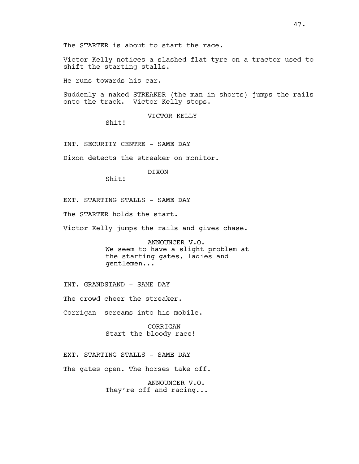The STARTER is about to start the race.

Victor Kelly notices a slashed flat tyre on a tractor used to shift the starting stalls.

He runs towards his car.

Suddenly a naked STREAKER (the man in shorts) jumps the rails onto the track. Victor Kelly stops.

## VICTOR KELLY

Shit!

INT. SECURITY CENTRE - SAME DAY

Dixon detects the streaker on monitor.

DIXON

Shit!

EXT. STARTING STALLS - SAME DAY

The STARTER holds the start.

Victor Kelly jumps the rails and gives chase.

ANNOUNCER V.O. We seem to have a slight problem at the starting gates, ladies and gentlemen...

INT. GRANDSTAND - SAME DAY

The crowd cheer the streaker.

Corrigan screams into his mobile.

CORRIGAN Start the bloody race!

EXT. STARTING STALLS - SAME DAY The gates open. The horses take off.

> ANNOUNCER V.O. They're off and racing...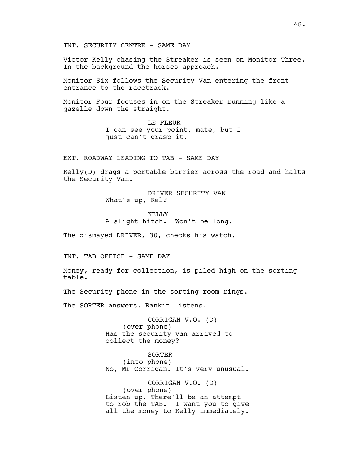INT. SECURITY CENTRE - SAME DAY

Victor Kelly chasing the Streaker is seen on Monitor Three. In the background the horses approach.

Monitor Six follows the Security Van entering the front entrance to the racetrack.

Monitor Four focuses in on the Streaker running like a gazelle down the straight.

> LE FLEUR I can see your point, mate, but I just can't grasp it.

EXT. ROADWAY LEADING TO TAB - SAME DAY

Kelly(D) drags a portable barrier across the road and halts the Security Van.

> DRIVER SECURITY VAN What's up, Kel?

KELLY A slight hitch. Won't be long.

The dismayed DRIVER, 30, checks his watch.

INT. TAB OFFICE - SAME DAY

Money, ready for collection, is piled high on the sorting table.

The Security phone in the sorting room rings.

The SORTER answers. Rankin listens.

CORRIGAN V.O. (D) (over phone) Has the security van arrived to collect the money?

SORTER (into phone) No, Mr Corrigan. It's very unusual.

CORRIGAN V.O. (D) (over phone) Listen up. There'll be an attempt to rob the TAB. I want you to give all the money to Kelly immediately.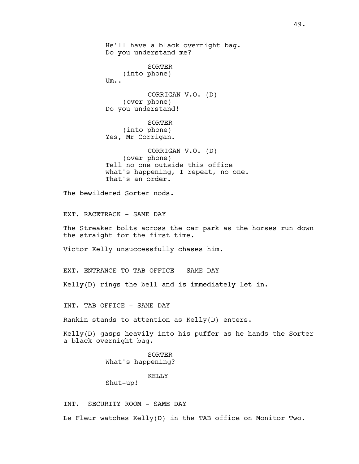He'll have a black overnight bag. Do you understand me? SORTER (into phone) Um.. CORRIGAN V.O. (D) (over phone) Do you understand! SORTER (into phone) Yes, Mr Corrigan. CORRIGAN V.O. (D) (over phone) Tell no one outside this office what's happening, I repeat, no one. That's an order. The bewildered Sorter nods. EXT. RACETRACK - SAME DAY The Streaker bolts across the car park as the horses run down the straight for the first time. Victor Kelly unsuccessfully chases him. EXT. ENTRANCE TO TAB OFFICE - SAME DAY Kelly(D) rings the bell and is immediately let in. INT. TAB OFFICE - SAME DAY Rankin stands to attention as Kelly(D) enters. Kelly(D) gasps heavily into his puffer as he hands the Sorter a black overnight bag. SORTER What's happening? KELLY Shut-up! INT. SECURITY ROOM - SAME DAY Le Fleur watches Kelly(D) in the TAB office on Monitor Two.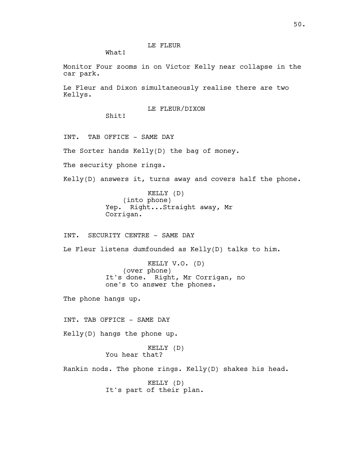# LE FLEUR

What!

Monitor Four zooms in on Victor Kelly near collapse in the car park.

Le Fleur and Dixon simultaneously realise there are two Kellys.

LE FLEUR/DIXON

Shit!

INT. TAB OFFICE - SAME DAY

The Sorter hands Kelly(D) the bag of money.

The security phone rings.

 $Kelly(D)$  answers it, turns away and covers half the phone.

KELLY (D) (into phone) Yep. Right...Straight away, Mr Corrigan.

INT. SECURITY CENTRE - SAME DAY

Le Fleur listens dumfounded as Kelly(D) talks to him.

KELLY V.O. (D) (over phone) It's done. Right, Mr Corrigan, no one's to answer the phones.

The phone hangs up.

INT. TAB OFFICE - SAME DAY

Kelly(D) hangs the phone up.

KELLY (D) You hear that?

Rankin nods. The phone rings. Kelly(D) shakes his head.

KELLY (D) It's part of their plan.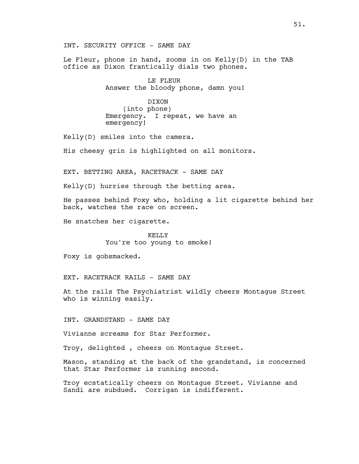INT. SECURITY OFFICE - SAME DAY

Le Fleur, phone in hand, zooms in on Kelly(D) in the TAB office as Dixon frantically dials two phones.

> LE FLEUR Answer the bloody phone, damn you!

DIXON (into phone) Emergency. I repeat, we have an emergency!

Kelly(D) smiles into the camera.

His cheesy grin is highlighted on all monitors.

EXT. BETTING AREA, RACETRACK - SAME DAY

Kelly(D) hurries through the betting area.

He passes behind Foxy who, holding a lit cigarette behind her back, watches the race on screen.

He snatches her cigarette.

KELLY You're too young to smoke!

Foxy is gobsmacked.

EXT. RACETRACK RAILS - SAME DAY

At the rails The Psychiatrist wildly cheers Montague Street who is winning easily.

INT. GRANDSTAND - SAME DAY

Vivianne screams for Star Performer.

Troy, delighted , cheers on Montague Street.

Mason, standing at the back of the grandstand, is concerned that Star Performer is running second.

Troy ecstatically cheers on Montague Street. Vivianne and Sandi are subdued. Corrigan is indifferent.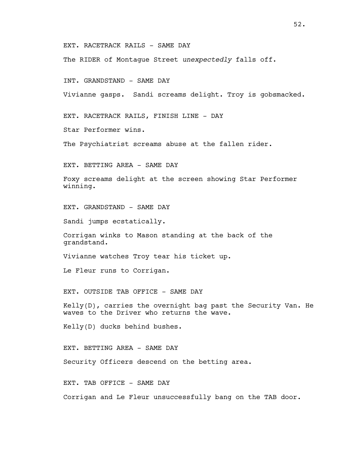EXT. RACETRACK RAILS - SAME DAY

The RIDER of Montaque Street unexpectedly falls off.

INT. GRANDSTAND - SAME DAY

Vivianne gasps. Sandi screams delight. Troy is gobsmacked.

EXT. RACETRACK RAILS, FINISH LINE - DAY

Star Performer wins.

The Psychiatrist screams abuse at the fallen rider.

EXT. BETTING AREA - SAME DAY

Foxy screams delight at the screen showing Star Performer winning.

EXT. GRANDSTAND - SAME DAY

Sandi jumps ecstatically.

Corrigan winks to Mason standing at the back of the grandstand.

Vivianne watches Troy tear his ticket up.

Le Fleur runs to Corrigan.

EXT. OUTSIDE TAB OFFICE - SAME DAY

Kelly(D), carries the overnight bag past the Security Van. He waves to the Driver who returns the wave.

Kelly(D) ducks behind bushes.

EXT. BETTING AREA - SAME DAY

Security Officers descend on the betting area.

EXT. TAB OFFICE - SAME DAY

Corrigan and Le Fleur unsuccessfully bang on the TAB door.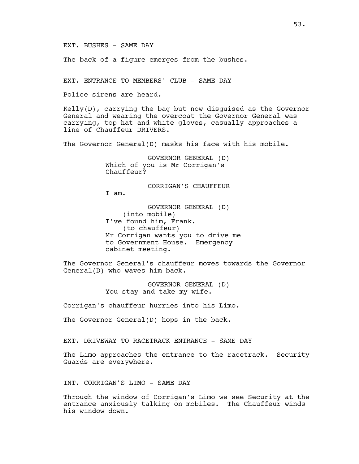EXT. BUSHES - SAME DAY

The back of a figure emerges from the bushes.

EXT. ENTRANCE TO MEMBERS' CLUB - SAME DAY

Police sirens are heard.

Kelly(D), carrying the bag but now disguised as the Governor General and wearing the overcoat the Governor General was carrying, top hat and white gloves, casually approaches a line of Chauffeur DRIVERS.

The Governor General(D) masks his face with his mobile.

GOVERNOR GENERAL (D) Which of you is Mr Corrigan's Chauffeur?

CORRIGAN'S CHAUFFEUR I am.

GOVERNOR GENERAL (D) (into mobile) I've found him, Frank. (to chauffeur) Mr Corrigan wants you to drive me to Government House. Emergency cabinet meeting.

The Governor General's chauffeur moves towards the Governor General(D) who waves him back.

> GOVERNOR GENERAL (D) You stay and take my wife.

Corrigan's chauffeur hurries into his Limo.

The Governor General(D) hops in the back.

EXT. DRIVEWAY TO RACETRACK ENTRANCE - SAME DAY

The Limo approaches the entrance to the racetrack. Security Guards are everywhere.

INT. CORRIGAN'S LIMO - SAME DAY

Through the window of Corrigan's Limo we see Security at the entrance anxiously talking on mobiles. The Chauffeur winds his window down.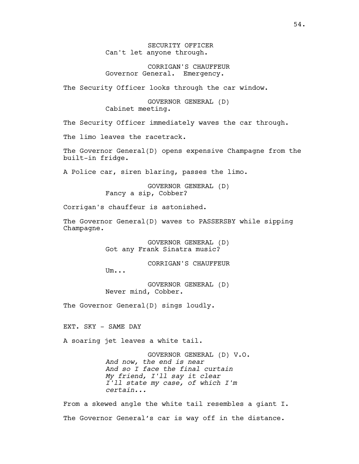SECURITY OFFICER Can't let anyone through.

CORRIGAN'S CHAUFFEUR Governor General. Emergency.

The Security Officer looks through the car window.

GOVERNOR GENERAL (D) Cabinet meeting.

The Security Officer immediately waves the car through.

The limo leaves the racetrack.

The Governor General(D) opens expensive Champagne from the built-in fridge.

A Police car, siren blaring, passes the limo.

GOVERNOR GENERAL (D) Fancy a sip, Cobber?

Corrigan's chauffeur is astonished.

The Governor General(D) waves to PASSERSBY while sipping Champagne.

> GOVERNOR GENERAL (D) Got any Frank Sinatra music?

> CORRIGAN'S CHAUFFEUR Um...

GOVERNOR GENERAL (D) Never mind, Cobber.

The Governor General(D) sings loudly.

EXT. SKY - SAME DAY

A soaring jet leaves a white tail.

GOVERNOR GENERAL (D) V.O. And now, the end is near And so I face the final curtain My friend, I'll say it clear I'll state my case, of which I'm certain...

From a skewed angle the white tail resembles a giant I. The Governor General's car is way off in the distance.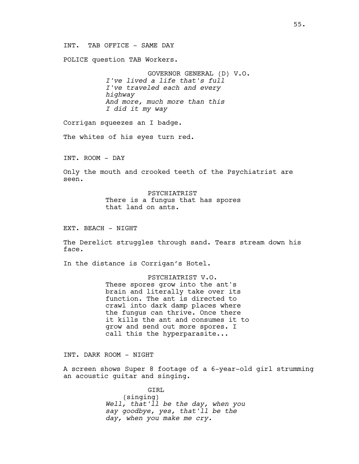INT. TAB OFFICE - SAME DAY

POLICE question TAB Workers.

GOVERNOR GENERAL (D) V.O. I've lived a life that's full I've traveled each and every highway And more, much more than this I did it my way

Corrigan squeezes an I badge.

The whites of his eyes turn red.

INT. ROOM - DAY

Only the mouth and crooked teeth of the Psychiatrist are seen.

> PSYCHIATRIST There is a fungus that has spores that land on ants.

EXT. BEACH - NIGHT

The Derelict struggles through sand. Tears stream down his face.

In the distance is Corrigan's Hotel.

PSYCHIATRIST V.O. These spores grow into the ant's brain and literally take over its function. The ant is directed to crawl into dark damp places where the fungus can thrive. Once there it kills the ant and consumes it to grow and send out more spores. I call this the hyperparasite...

INT. DARK ROOM - NIGHT

A screen shows Super 8 footage of a 6-year-old girl strumming an acoustic guitar and singing.

> GIRL (singing) Well, that'll be the day, when you say goodbye, yes, that'll be the day, when you make me cry.